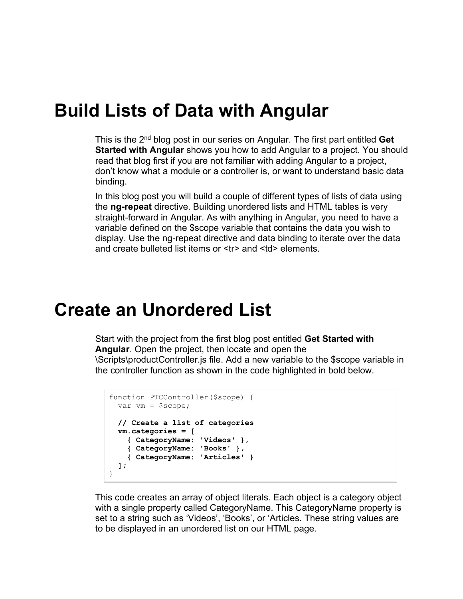#### **Build Lists of Data with Angular**

This is the 2nd blog post in our series on Angular. The first part entitled **Get Started with Angular** shows you how to add Angular to a project. You should read that blog first if you are not familiar with adding Angular to a project, don't know what a module or a controller is, or want to understand basic data binding.

In this blog post you will build a couple of different types of lists of data using the **ng-repeat** directive. Building unordered lists and HTML tables is very straight-forward in Angular. As with anything in Angular, you need to have a variable defined on the \$scope variable that contains the data you wish to display. Use the ng-repeat directive and data binding to iterate over the data and create bulleted list items or <tr> and <td> elements.

#### **Create an Unordered List**

Start with the project from the first blog post entitled **Get Started with Angular**. Open the project, then locate and open the \Scripts\productController.js file. Add a new variable to the \$scope variable in the controller function as shown in the code highlighted in bold below.

```
function PTCController($scope) {
  var vm = $scope;
  // Create a list of categories
  vm.categories = [
    { CategoryName: 'Videos' }, 
    { CategoryName: 'Books' }, 
     { CategoryName: 'Articles' }
  ];
}
```
This code creates an array of object literals. Each object is a category object with a single property called CategoryName. This CategoryName property is set to a string such as 'Videos', 'Books', or 'Articles. These string values are to be displayed in an unordered list on our HTML page.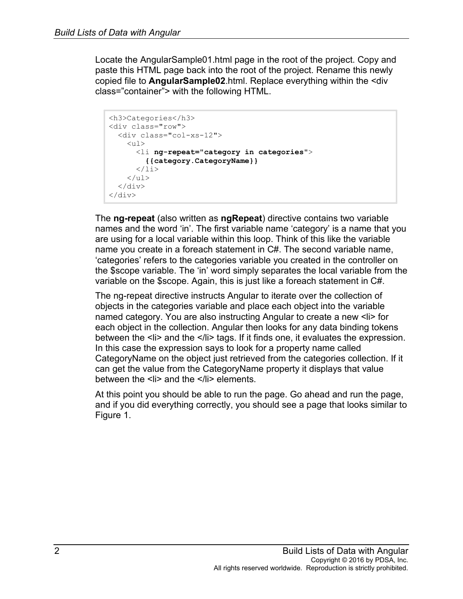Locate the AngularSample01.html page in the root of the project. Copy and paste this HTML page back into the root of the project. Rename this newly copied file to **AngularSample02**.html. Replace everything within the <div class="container"> with the following HTML.

```
<h3>Categories</h3>
<div class="row">
   <div class="col-xs-12">
    \langle u1\rangle <li ng-repeat="category in categories">
          {{category.CategoryName}}
       \langle/li>\langle/ul>
  \langle div>
</div>
```
The **ng-repeat** (also written as **ngRepeat**) directive contains two variable names and the word 'in'. The first variable name 'category' is a name that you are using for a local variable within this loop. Think of this like the variable name you create in a foreach statement in C#. The second variable name, 'categories' refers to the categories variable you created in the controller on the \$scope variable. The 'in' word simply separates the local variable from the variable on the \$scope. Again, this is just like a foreach statement in C#.

The ng-repeat directive instructs Angular to iterate over the collection of objects in the categories variable and place each object into the variable named category. You are also instructing Angular to create a new <li> for each object in the collection. Angular then looks for any data binding tokens between the  $\langle i \rangle$  and the  $\langle i \rangle$  tags. If it finds one, it evaluates the expression. In this case the expression says to look for a property name called CategoryName on the object just retrieved from the categories collection. If it can get the value from the CategoryName property it displays that value between the <li> and the </li> elements.

At this point you should be able to run the page. Go ahead and run the page, and if you did everything correctly, you should see a page that looks similar to Figure 1.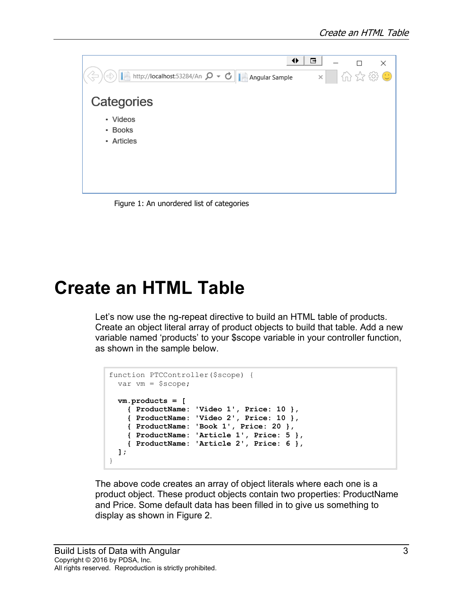| ◆<br>■ http://localhost:53284/An Q - ○<br>$\Rightarrow$<br>Angular Sample | в<br>$\times$ |  | $\times$<br>介太婆心 |
|---------------------------------------------------------------------------|---------------|--|------------------|
| Categories                                                                |               |  |                  |
| • Videos<br>• Books<br>• Articles                                         |               |  |                  |
|                                                                           |               |  |                  |

Figure 1: An unordered list of categories

## **Create an HTML Table**

Let's now use the ng-repeat directive to build an HTML table of products. Create an object literal array of product objects to build that table. Add a new variable named 'products' to your \$scope variable in your controller function, as shown in the sample below.

```
function PTCController($scope) {
  var vm = $scope;
  vm.products = [
    { ProductName: 'Video 1', Price: 10 },
    { ProductName: 'Video 2', Price: 10 },
     { ProductName: 'Book 1', Price: 20 },
    { ProductName: 'Article 1', Price: 5 },
     { ProductName: 'Article 2', Price: 6 },
  ];
}
```
The above code creates an array of object literals where each one is a product object. These product objects contain two properties: ProductName and Price. Some default data has been filled in to give us something to display as shown in Figure 2.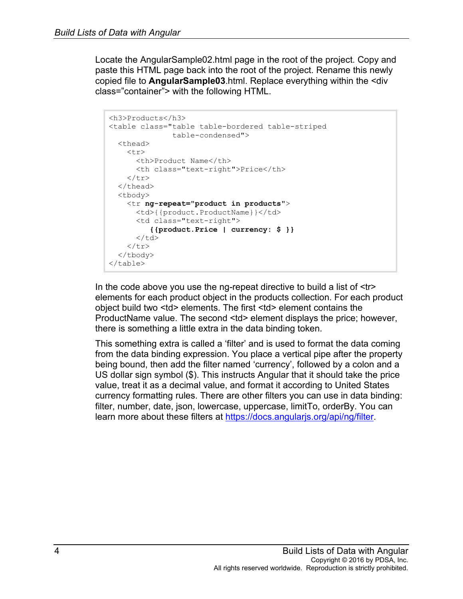Locate the AngularSample02.html page in the root of the project. Copy and paste this HTML page back into the root of the project. Rename this newly copied file to **AngularSample03**.html. Replace everything within the <div class="container"> with the following HTML.

```
<h3>Products</h3>
<table class="table table-bordered table-striped
                table-condensed">
   <thead>
    <tr>
       <th>Product Name</th>
       <th class="text-right">Price</th>
    \langle/tr>
  \langle /thead>
   <tbody>
     <tr ng-repeat="product in products">
      <td>{{product.ProductName}}</td>
       <td class="text-right">
           {{product.Price | currency: $ }}
      \langle t \rangle\langletr>
   </tbody>
</table>
```
In the code above you use the ng-repeat directive to build a list of <tr> elements for each product object in the products collection. For each product object build two <td> elements. The first <td> element contains the ProductName value. The second <td> element displays the price; however, there is something a little extra in the data binding token.

This something extra is called a 'filter' and is used to format the data coming from the data binding expression. You place a vertical pipe after the property being bound, then add the filter named 'currency', followed by a colon and a US dollar sign symbol (\$). This instructs Angular that it should take the price value, treat it as a decimal value, and format it according to United States currency formatting rules. There are other filters you can use in data binding: filter, number, date, json, lowercase, uppercase, limitTo, orderBy. You can learn more about these filters at [https://docs.angularjs.org/api/ng/filter.](https://docs.angularjs.org/api/ng/filter)